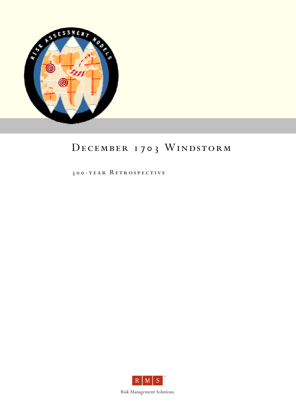

# DECEMBER 1703 WINDSTORM

300-year Retrospective



Risk Management Solutions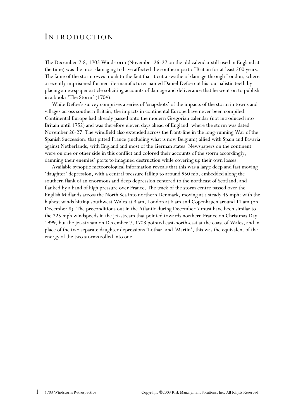## INTRODUCTION

The December 7-8, 1703 Windstorm (November 26-27 on the old calendar still used in England at the time) was the most damaging to have affected the southern part of Britain for at least 500 years. The fame of the storm owes much to the fact that it cut a swathe of damage through London, where a recently imprisoned former tile-manufacturer named Daniel Defoe cut his journalistic teeth by placing a newspaper article soliciting accounts of damage and deliverance that he went on to publish in a book: 'The Storm' (1704).

While Defoe's survey comprises a series of 'snapshots' of the impacts of the storm in towns and villages across southern Britain, the impacts in continental Europe have never been compiled. Continental Europe had already passed onto the modern Gregorian calendar (not introduced into Britain until 1752) and was therefore eleven days ahead of England: where the storm was dated November 26-27. The windfield also extended across the front-line in the long-running War of the Spanish Succession: that pitted France (including what is now Belgium) allied with Spain and Bavaria against Netherlands, with England and most of the German states. Newspapers on the continent were on one or other side in this conflict and colored their accounts of the storm accordingly, damning their enemies' ports to imagined destruction while covering up their own losses.

Available synoptic meteorological information reveals that this was a large deep and fast moving 'daughter' depression, with a central pressure falling to around 950 mb, embedded along the southern flank of an enormous and deep depression centered to the northeast of Scotland, and flanked by a band of high pressure over France. The track of the storm centre passed over the English Midlands across the North Sea into northern Denmark, moving at a steady 45 mph: with the highest winds hitting southwest Wales at 3 am, London at 6 am and Copenhagen around 11 am (on December 8). The preconditions out in the Atlantic during December 7 must have been similar to the 225 mph windspeeds in the jet-stream that pointed towards northern France on Christmas Day 1999, but the jet-stream on December 7, 1703 pointed east-north-east at the coast of Wales, and in place of the two separate daughter depressions 'Lothar' and 'Martin', this was the equivalent of the energy of the two storms rolled into one.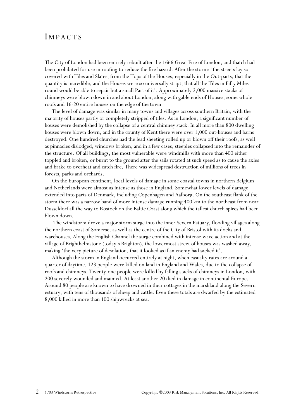#### IMPACTS

The City of London had been entirely rebuilt after the 1666 Great Fire of London, and thatch had been prohibited for use in roofing to reduce the fire hazard. After the storm: 'the streets lay so covered with Tiles and Slates, from the Tops of the Houses, especially in the Out-parts, that the quantity is incredible, and the Houses were so universally stript, that all the Tiles in Fifty Miles round would be able to repair but a small Part of it'. Approximately 2,000 massive stacks of chimneys were blown down in and about London, along with gable ends of Houses, some whole roofs and 16-20 entire houses on the edge of the town.

The level of damage was similar in many towns and villages across southern Britain, with the majority of houses partly or completely stripped of tiles. As in London, a significant number of houses were demolished by the collapse of a central chimney stack. In all more than 800 dwelling houses were blown down, and in the county of Kent there were over 1,000 out-houses and barns destroyed. One hundred churches had the lead sheeting rolled up or blown off their roofs, as well as pinnacles dislodged, windows broken, and in a few cases, steeples collapsed into the remainder of the structure. Of all buildings, the most vulnerable were windmills with more than 400 either toppled and broken, or burnt to the ground after the sails rotated at such speed as to cause the axles and brake to overheat and catch fire. There was widespread destruction of millions of trees in forests, parks and orchards.

On the European continent, local levels of damage in some coastal towns in northern Belgium and Netherlands were almost as intense as those in England. Somewhat lower levels of damage extended into parts of Denmark, including Copenhagen and Aalborg. On the southeast flank of the storm there was a narrow band of more intense damage running 400 km to the northeast from near Dusseldorf all the way to Rostock on the Baltic Coast along which the tallest church spires had been blown down.

 The windstorm drove a major storm surge into the inner Severn Estuary, flooding villages along the northern coast of Somerset as well as the centre of the City of Bristol with its docks and warehouses. Along the English Channel the surge combined with intense wave action and at the village of Brighthelmstone (today's Brighton), the lowermost street of houses was washed away, making 'the very picture of desolation, that it looked as if an enemy had sacked it'.

Although the storm in England occurred entirely at night, when casualty rates are around a quarter of daytime, 123 people were killed on land in England and Wales, due to the collapse of roofs and chimneys. Twenty-one people were killed by falling stacks of chimneys in London, with 200 severely wounded and maimed. At least another 20 died in damage in continental Europe. Around 80 people are known to have drowned in their cottages in the marshland along the Severn estuary, with tens of thousands of sheep and cattle. Even these totals are dwarfed by the estimated 8,000 killed in more than 100 shipwrecks at sea.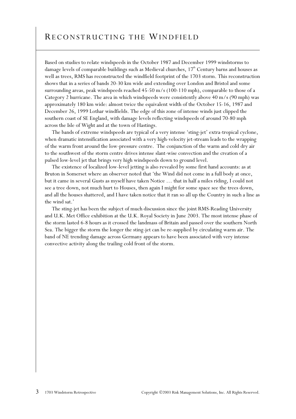## RECONSTRUCTING THE WINDFIELD

Based on studies to relate windspeeds in the October 1987 and December 1999 windstorms to damage levels of comparable buildings such as Medieval churches,  $17<sup>th</sup>$  Century barns and houses as well as trees, RMS has reconstructed the windfield footprint of the 1703 storm. This reconstruction shows that in a series of bands 20-30 km wide and extending over London and Bristol and some surrounding areas, peak windspeeds reached 45-50 m/s (100-110 mph), comparable to those of a Category 2 hurricane. The area in which windspeeds were consistently above 40 m/s (90 mph) was approximately 180 km wide: almost twice the equivalent width of the October 15-16, 1987 and December 26, 1999 Lothar windfields. The edge of this zone of intense winds just clipped the southern coast of SE England, with damage levels reflecting windspeeds of around 70-80 mph across the Isle of Wight and at the town of Hastings.

The bands of extreme windspeeds are typical of a very intense 'sting-jet' extra-tropical cyclone, when dramatic intensification associated with a very high-velocity jet-stream leads to the wrapping of the warm front around the low-pressure centre. The conjunction of the warm and cold dry air to the southwest of the storm centre drives intense slant-wise convection and the creation of a pulsed low-level jet that brings very high windspeeds down to ground level.

The existence of localized low-level jetting is also revealed by some first hand accounts: as at Bruton in Somerset where an observer noted that 'the Wind did not come in a full body at once, but it came in several Gusts as myself have taken Notice … that in half a miles riding, I could not see a tree down, not much hurt to Houses, then again I might for some space see the trees down, and all the houses shattered, and I have taken notice that it ran so all up the Country in such a line as the wind sat.'

The sting-jet has been the subject of much discussion since the joint RMS-Reading University and U.K. Met Office exhibition at the U.K. Royal Society in June 2003. The most intense phase of the storm lasted 6-8 hours as it crossed the landmass of Britain and passed over the southern North Sea. The bigger the storm the longer the sting-jet can be re-supplied by circulating warm air. The band of NE trending damage across Germany appears to have been associated with very intense convective activity along the trailing cold front of the storm.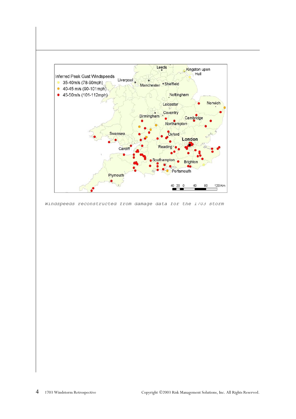

*Windspeeds reconstructed from damage data for the 1703 storm*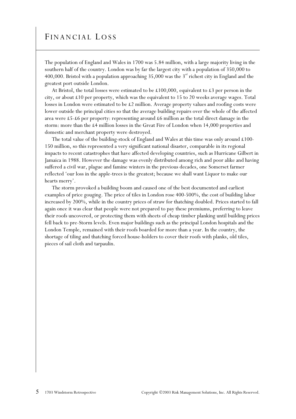## FINANCIAL LOSS

The population of England and Wales in 1700 was 5.84 million, with a large majority living in the southern half of the country. London was by far the largest city with a population of 350,000 to 400,000. Bristol with a population approaching 35,000 was the  $3<sup>rd</sup>$  richest city in England and the greatest port outside London.

At Bristol, the total losses were estimated to be £100,000, equivalent to £3 per person in the city, or about £10 per property, which was the equivalent to 15 to 20 weeks average wages. Total losses in London were estimated to be £2 million. Average property values and roofing costs were lower outside the principal cities so that the average building repairs over the whole of the affected area were £5-£6 per property: representing around £6 million as the total direct damage in the storm: more than the £4 million losses in the Great Fire of London when 14,000 properties and domestic and merchant property were destroyed.

The total value of the building-stock of England and Wales at this time was only around  $\pounds$ 100-150 million, so this represented a very significant national disaster, comparable in its regional impacts to recent catastrophes that have affected developing countries, such as Hurricane Gilbert in Jamaica in 1988. However the damage was evenly distributed among rich and poor alike and having suffered a civil war, plague and famine winters in the previous decades, one Somerset farmer reflected 'our loss in the apple-trees is the greatest; because we shall want Liquor to make our hearts merry'.

The storm provoked a building boom and caused one of the best documented and earliest examples of price gouging. The price of tiles in London rose 400-500%, the cost of building labor increased by 200%, while in the country prices of straw for thatching doubled. Prices started to fall again once it was clear that people were not prepared to pay these premiums, preferring to leave their roofs uncovered, or protecting them with sheets of cheap timber planking until building prices fell back to pre-Storm levels. Even major buildings such as the principal London hospitals and the London Temple, remained with their roofs boarded for more than a year. In the country, the shortage of tiling and thatching forced house-holders to cover their roofs with planks, old tiles, pieces of sail cloth and tarpaulin.